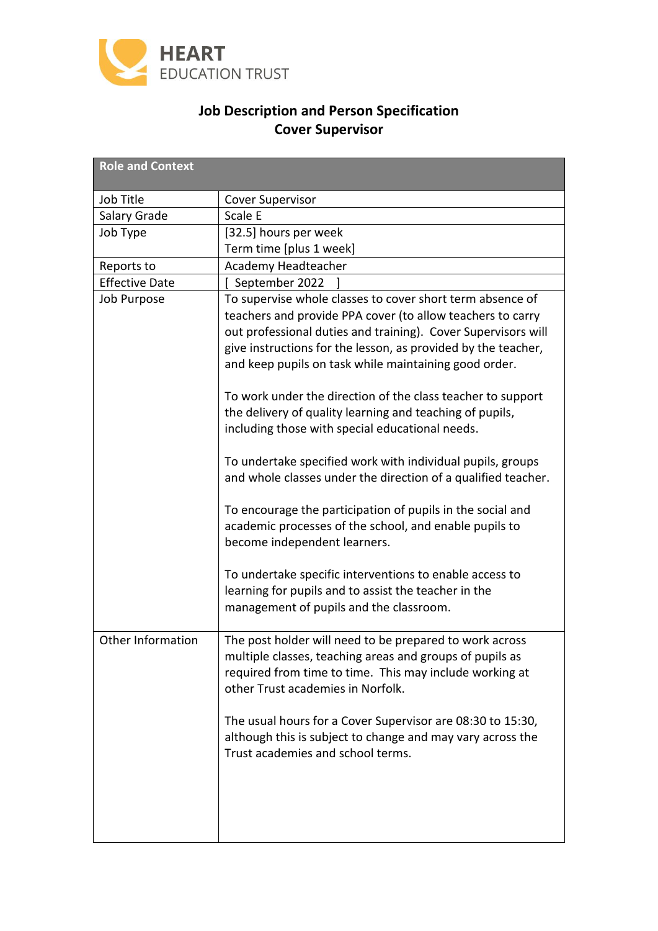

# **Job Description and Person Specification Cover Supervisor**

| <b>Role and Context</b> |                                                                                                                                                                                                                                                                                                                                                                                                                                                                                                                                                                                                                                                                                                                                                         |
|-------------------------|---------------------------------------------------------------------------------------------------------------------------------------------------------------------------------------------------------------------------------------------------------------------------------------------------------------------------------------------------------------------------------------------------------------------------------------------------------------------------------------------------------------------------------------------------------------------------------------------------------------------------------------------------------------------------------------------------------------------------------------------------------|
| Job Title               | <b>Cover Supervisor</b>                                                                                                                                                                                                                                                                                                                                                                                                                                                                                                                                                                                                                                                                                                                                 |
| Salary Grade            | Scale E                                                                                                                                                                                                                                                                                                                                                                                                                                                                                                                                                                                                                                                                                                                                                 |
| Job Type                | [32.5] hours per week                                                                                                                                                                                                                                                                                                                                                                                                                                                                                                                                                                                                                                                                                                                                   |
|                         | Term time [plus 1 week]                                                                                                                                                                                                                                                                                                                                                                                                                                                                                                                                                                                                                                                                                                                                 |
| Reports to              | Academy Headteacher                                                                                                                                                                                                                                                                                                                                                                                                                                                                                                                                                                                                                                                                                                                                     |
| <b>Effective Date</b>   | September 2022                                                                                                                                                                                                                                                                                                                                                                                                                                                                                                                                                                                                                                                                                                                                          |
| <b>Job Purpose</b>      | To supervise whole classes to cover short term absence of<br>teachers and provide PPA cover (to allow teachers to carry<br>out professional duties and training). Cover Supervisors will<br>give instructions for the lesson, as provided by the teacher,<br>and keep pupils on task while maintaining good order.<br>To work under the direction of the class teacher to support<br>the delivery of quality learning and teaching of pupils,<br>including those with special educational needs.<br>To undertake specified work with individual pupils, groups<br>and whole classes under the direction of a qualified teacher.<br>To encourage the participation of pupils in the social and<br>academic processes of the school, and enable pupils to |
|                         | become independent learners.<br>To undertake specific interventions to enable access to<br>learning for pupils and to assist the teacher in the<br>management of pupils and the classroom.                                                                                                                                                                                                                                                                                                                                                                                                                                                                                                                                                              |
| Other Information       | The post holder will need to be prepared to work across<br>multiple classes, teaching areas and groups of pupils as<br>required from time to time. This may include working at<br>other Trust academies in Norfolk.                                                                                                                                                                                                                                                                                                                                                                                                                                                                                                                                     |
|                         | The usual hours for a Cover Supervisor are 08:30 to 15:30,<br>although this is subject to change and may vary across the<br>Trust academies and school terms.                                                                                                                                                                                                                                                                                                                                                                                                                                                                                                                                                                                           |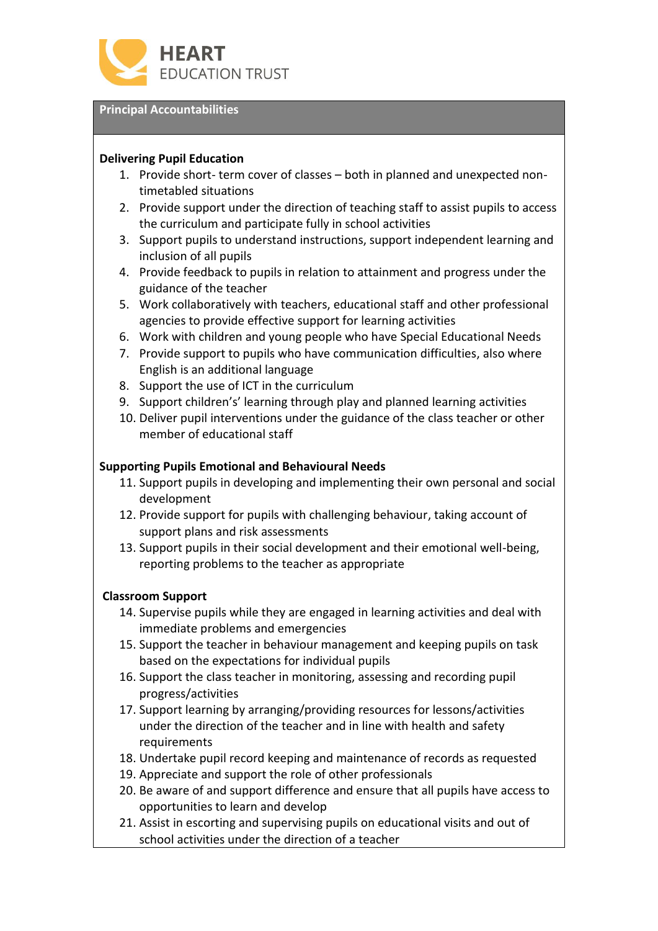

### **Principal Accountabilities**

## **Delivering Pupil Education**

- 1. Provide short- term cover of classes both in planned and unexpected nontimetabled situations
- 2. Provide support under the direction of teaching staff to assist pupils to access the curriculum and participate fully in school activities
- 3. Support pupils to understand instructions, support independent learning and inclusion of all pupils
- 4. Provide feedback to pupils in relation to attainment and progress under the guidance of the teacher
- 5. Work collaboratively with teachers, educational staff and other professional agencies to provide effective support for learning activities
- 6. Work with children and young people who have Special Educational Needs
- 7. Provide support to pupils who have communication difficulties, also where English is an additional language
- 8. Support the use of ICT in the curriculum
- 9. Support children's' learning through play and planned learning activities
- 10. Deliver pupil interventions under the guidance of the class teacher or other member of educational staff

### **Supporting Pupils Emotional and Behavioural Needs**

- 11. Support pupils in developing and implementing their own personal and social development
- 12. Provide support for pupils with challenging behaviour, taking account of support plans and risk assessments
- 13. Support pupils in their social development and their emotional well-being, reporting problems to the teacher as appropriate

#### **Classroom Support**

- 14. Supervise pupils while they are engaged in learning activities and deal with immediate problems and emergencies
- 15. Support the teacher in behaviour management and keeping pupils on task based on the expectations for individual pupils
- 16. Support the class teacher in monitoring, assessing and recording pupil progress/activities
- 17. Support learning by arranging/providing resources for lessons/activities under the direction of the teacher and in line with health and safety requirements
- 18. Undertake pupil record keeping and maintenance of records as requested
- 19. Appreciate and support the role of other professionals
- 20. Be aware of and support difference and ensure that all pupils have access to opportunities to learn and develop
- 21. Assist in escorting and supervising pupils on educational visits and out of school activities under the direction of a teacher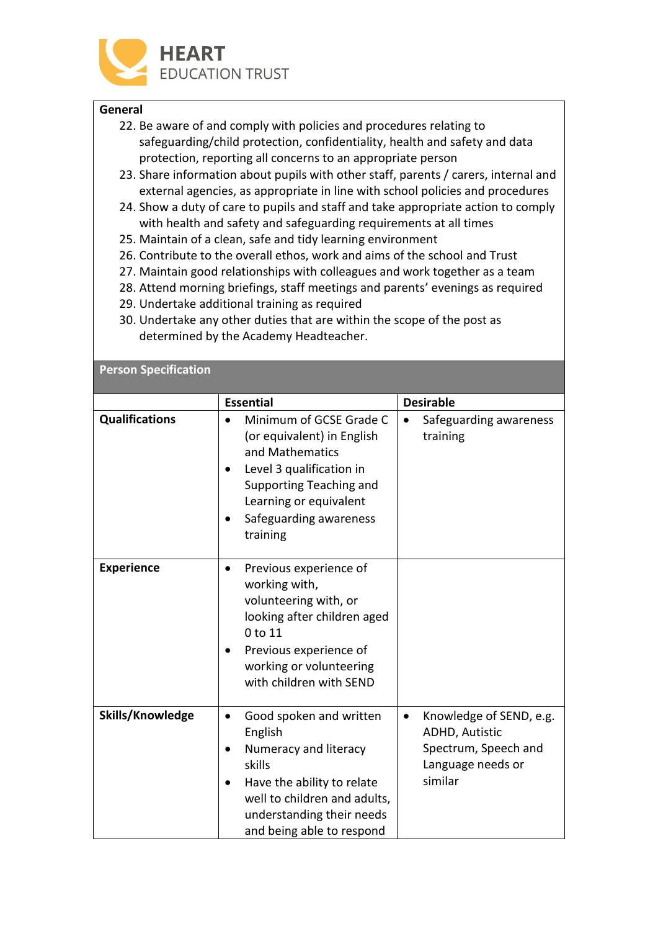

### **General**

- 22. Be aware of and comply with policies and procedures relating to safeguarding/child protection, confidentiality, health and safety and data protection, reporting all concerns to an appropriate person
- 23. Share information about pupils with other staff, parents / carers, internal and external agencies, as appropriate in line with school policies and procedures
- 24. Show a duty of care to pupils and staff and take appropriate action to comply with health and safety and safeguarding requirements at all times
- 25. Maintain of a clean, safe and tidy learning environment
- 26. Contribute to the overall ethos, work and aims of the school and Trust
- 27. Maintain good relationships with colleagues and work together as a team
- 28. Attend morning briefings, staff meetings and parents' evenings as required
- 29. Undertake additional training as required
- 30. Undertake any other duties that are within the scope of the post as determined by the Academy Headteacher.

| <b>Person Specification</b> |                                                                                                                                                                                                              |                                                                                                                       |  |
|-----------------------------|--------------------------------------------------------------------------------------------------------------------------------------------------------------------------------------------------------------|-----------------------------------------------------------------------------------------------------------------------|--|
|                             | <b>Essential</b>                                                                                                                                                                                             | <b>Desirable</b>                                                                                                      |  |
| <b>Qualifications</b>       | Minimum of GCSE Grade C<br>(or equivalent) in English<br>and Mathematics<br>Level 3 qualification in<br>$\bullet$<br>Supporting Teaching and<br>Learning or equivalent<br>Safeguarding awareness<br>training | Safeguarding awareness<br>training                                                                                    |  |
| <b>Experience</b>           | Previous experience of<br>$\bullet$<br>working with,<br>volunteering with, or<br>looking after children aged<br>0 to 11<br>Previous experience of<br>working or volunteering<br>with children with SEND      |                                                                                                                       |  |
| Skills/Knowledge            | Good spoken and written<br>$\bullet$<br>English<br>Numeracy and literacy<br>skills<br>Have the ability to relate<br>well to children and adults,<br>understanding their needs<br>and being able to respond   | Knowledge of SEND, e.g.<br>$\bullet$<br><b>ADHD, Autistic</b><br>Spectrum, Speech and<br>Language needs or<br>similar |  |